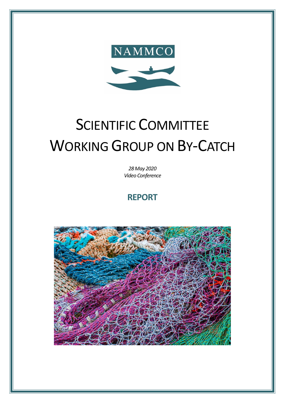

# SCIENTIFIC COMMITTEE WORKING GROUP ON BY-CATCH

*28 May 2020 Video Conference*

# **REPORT**

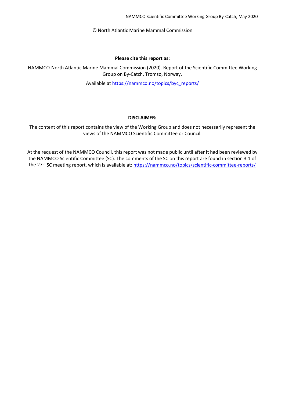© North Atlantic Marine Mammal Commission

#### **Please cite this report as:**

NAMMCO-North Atlantic Marine Mammal Commission (2020). Report of the Scientific Committee Working Group on By-Catch, Tromsø, Norway.

Available a[t https://nammco.no/topics/byc\\_reports/](https://nammco.no/topics/byc_reports/)

#### **DISCLAIMER:**

The content of this report contains the view of the Working Group and does not necessarily represent the views of the NAMMCO Scientific Committee or Council.

At the request of the NAMMCO Council, this report was not made public until after it had been reviewed by the NAMMCO Scientific Committee (SC). The comments of the SC on this report are found in section 3.1 of the 27<sup>th</sup> SC meeting report, which is available at:<https://nammco.no/topics/scientific-committee-reports/>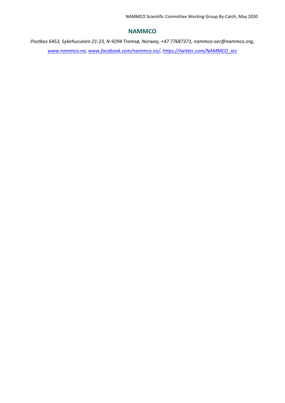## **NAMMCO**

*Postbox 6453, Sykehusveien 21-23, N-9294 Tromsø, Norway, +47 77687371, nammco-sec@nammco.org, www.nammco.no, [www.facebook.com/nammco.no/,](http://www.facebook.com/nammco.no/) [https://twitter.com/NAMMCO\\_sec](https://twitter.com/NAMMCO_sec)*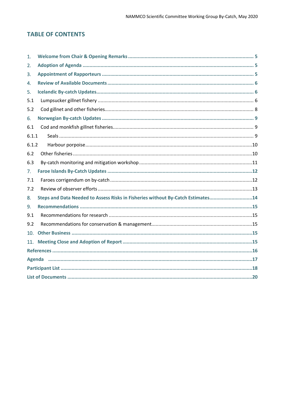# **TABLE OF CONTENTS**

| 1.              |                                                                                 |  |  |  |  |
|-----------------|---------------------------------------------------------------------------------|--|--|--|--|
| 2.              |                                                                                 |  |  |  |  |
| 3.              |                                                                                 |  |  |  |  |
| 4.              |                                                                                 |  |  |  |  |
| 5.              |                                                                                 |  |  |  |  |
| 5.1             |                                                                                 |  |  |  |  |
| 5.2             |                                                                                 |  |  |  |  |
| 6.              |                                                                                 |  |  |  |  |
| 6.1             |                                                                                 |  |  |  |  |
| 6.1.1           |                                                                                 |  |  |  |  |
| 6.1.2           |                                                                                 |  |  |  |  |
| 6.2             |                                                                                 |  |  |  |  |
| 6.3             |                                                                                 |  |  |  |  |
| 7.              |                                                                                 |  |  |  |  |
| 7.1             |                                                                                 |  |  |  |  |
| 7.2             |                                                                                 |  |  |  |  |
| 8.              | Steps and Data Needed to Assess Risks in Fisheries without By-Catch Estimates14 |  |  |  |  |
| 9.              |                                                                                 |  |  |  |  |
| 9.1             |                                                                                 |  |  |  |  |
| 9.2             |                                                                                 |  |  |  |  |
| 10 <sub>1</sub> |                                                                                 |  |  |  |  |
| 11.             |                                                                                 |  |  |  |  |
|                 |                                                                                 |  |  |  |  |
|                 |                                                                                 |  |  |  |  |
|                 |                                                                                 |  |  |  |  |
|                 |                                                                                 |  |  |  |  |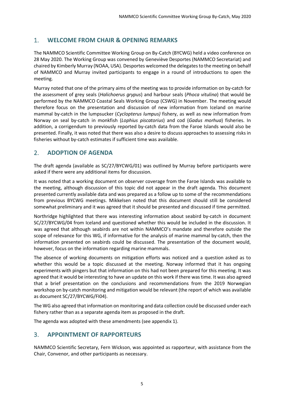# <span id="page-4-0"></span>1. **WELCOME FROM CHAIR & OPENING REMARKS**

The NAMMCO Scientific Committee Working Group on By-Catch (BYCWG) held a video conference on 28 May 2020. The Working Group was convened by Geneviève Desportes (NAMMCO Secretariat) and chaired by Kimberly Murray (NOAA, USA). Desportes welcomed the delegates to the meeting on behalf of NAMMCO and Murray invited participants to engage in a round of introductions to open the meeting.

Murray noted that one of the primary aims of the meeting was to provide information on by-catch for the assessment of grey seals (*Halichoerus grypus*) and harbour seals (*Phoca vitulina*) that would be performed by the NAMMCO Coastal Seals Working Group (CSWG) in November. The meeting would therefore focus on the presentation and discussion of new information from Iceland on marine mammal by-catch in the lumpsucker (*Cyclopterus lumpus)* fishery, as well as new information from Norway on seal by-catch in monkfish (*Lophius piscatorius*) and cod (*Gadus morhua*) fisheries. In addition, a corrigendum to previously reported by-catch data from the Faroe Islands would also be presented. Finally, it was noted that there was also a desire to discuss approaches to assessing risks in fisheries without by-catch estimates if sufficient time was available.

# <span id="page-4-1"></span>2. **ADOPTION OF AGENDA**

The draft agenda (available as SC/27/BYCWG/01) was outlined by Murray before participants were asked if there were any additional items for discussion.

It was noted that a working document on observer coverage from the Faroe Islands was available to the meeting, although discussion of this topic did not appear in the draft agenda. This document presented currently available data and was prepared as a follow up to some of the recommendations from previous BYCWG meetings. Mikkelsen noted that this document should still be considered somewhat preliminary and it was agreed that it should be presented and discussed if time permitted.

Northridge highlighted that there was interesting information about seabird by-catch in document SC/27/BYCWG/04 from Iceland and questioned whether this would be included in the discussion. It was agreed that although seabirds are not within NAMMCO's mandate and therefore outside the scope of relevance for this WG, if informative for the analysis of marine mammal by-catch, then the information presented on seabirds could be discussed. The presentation of the document would, however, focus on the information regarding marine mammals.

The absence of working documents on mitigation efforts was noticed and a question asked as to whether this would be a topic discussed at the meeting. Norway informed that it has ongoing experiments with pingers but that information on this had not been prepared for this meeting. It was agreed that it would be interesting to have an update on this work if there was time. It was also agreed that a brief presentation on the conclusions and recommendations from the 2019 Norwegian workshop on by-catch monitoring and mitigation would be relevant (the report of which was available as document SC/27/BYCWG/FI04).

The WG also agreed that information on monitoring and data collection could be discussed under each fishery rather than as a separate agenda item as proposed in the draft.

The agenda was adopted with these amendments (see appendix 1).

# <span id="page-4-2"></span>3. **APPOINTMENT OF RAPPORTEURS**

NAMMCO Scientific Secretary, Fern Wickson, was appointed as rapporteur, with assistance from the Chair, Convenor, and other participants as necessary.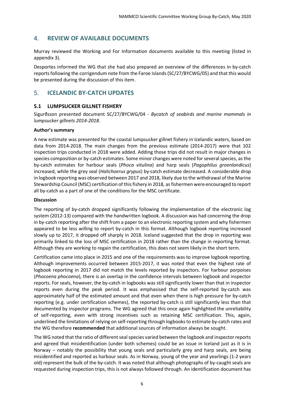# <span id="page-5-0"></span>4. **REVIEW OF AVAILABLE DOCUMENTS**

Murray reviewed the Working and For Information documents available to this meeting (listed in appendix 3).

Desportes informed the WG that she had also prepared an overview of the differences in by-catch reports following the corrigendum note from the Faroe Islands(SC/27/BYCWG/05) and that this would be presented during the discussion of this item.

# <span id="page-5-1"></span>5. **ICELANDIC BY-CATCH UPDATES**

#### <span id="page-5-2"></span>**5.1 LUMPSUCKER GILLNET FISHERY**

Sigurðsson presented document SC/27/BYCWG/04 - *Bycatch of seabirds and marine mammals in lumpsucker gillnets 2014-2018.*

#### **Author's summary**

A new estimate was presented for the coastal lumpsucker gillnet fishery in Icelandic waters, based on data from 2014-2018. The main changes from the previous estimate (2014-2017) were that 102 inspection trips conducted in 2018 were added. Adding those trips did not result in major changes in species composition or by-catch estimates. Some minor changes were noted for several species, as the by-catch estimates for harbour seals (*Phoca vitulina*) and harp seals (*Pagophilus groenlandicus*) increased, while the grey seal (*Halichoerus grypus*) by-catch estimate decreased. A considerable drop in logbook reporting was observed between 2017 and 2018, likely due to the withdrawal of the Marine Stewardship Council (MSC) certification of this fishery in 2018, as fishermen were encouraged to report all by-catch as a part of one of the conditions for the MSC certificate.

#### **Discussion**

The reporting of by-catch dropped significantly following the implementation of the electronic log system (2012-13) compared with the handwritten logbook. A discussion was had concerning the drop in by-catch reporting after the shift from a paper to an electronic reporting system and why fishermen appeared to be less willing to report by-catch in this format. Although logbook reporting increased slowly up to 2017, it dropped off sharply in 2018. Iceland suggested that the drop in reporting was primarily linked to the loss of MSC certification in 2018 rather than the change in reporting format. Although they are working to regain the certification, this does not seem likely in the short term.

Certification came into place in 2015 and one of the requirements was to improve logbook reporting. Although improvements occurred between 2015-2017, it was noted that even the highest rate of logbook reporting in 2017 did not match the levels reported by inspectors. For harbour porpoises (*Phocoena phocoena*), there is an overlap in the confidence intervals between logbook and inspector reports. For seals, however, the by-catch in logbooks was still significantly lower than that in inspector reports even during the peak period. It was emphasised that the self-reported by-catch was approximately half of the estimated amount and that even when there is high pressure for by-catch reporting (e.g. under certification schemes), the reported by-catch is still significantly less than that documented by inspector programs. The WG agreed that this once again highlighted the unreliability of self-reporting, even with strong incentives such as retaining MSC certification. This, again, underlined the limitations of relying on self-reporting through logbooks to estimate by-catch rates and the WG therefore **recommended** that additional sources of information always be sought.

The WG noted that the ratio of different seal species varied between the logbook and inspector reports and agreed that misidentification (under both schemes) could be an issue in Iceland just as it is in Norway – notably the possibility that young seals and particularly grey and harp seals, are being misidentified and reported as harbour seals. As in Norway, young of the year and yearlings (1-2 years old) represent the bulk of the by-catch. It was noted that although photographs of by-caught seals are requested during inspection trips, this is not always followed through. An identification document has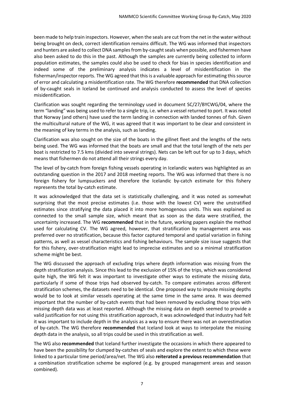been made to help train inspectors. However, when the seals are cut from the net in the water without being brought on deck, correct identification remains difficult. The WG was informed that inspectors and hunters are asked to collect DNA samples from by-caught seals when possible, and fishermen have also been asked to do this in the past. Although the samples are currently being collected to inform population estimates, the samples could also be used to check for bias in species identification and indeed some of the preliminary analysis indicates a level of misidentification in the fisherman/inspector reports. The WG agreed that this is a valuable approach for estimating this source of error and calculating a misidentification rate. The WG therefore **recommended** that DNA collection of by-caught seals in Iceland be continued and analysis conducted to assess the level of species misidentification.

Clarification was sought regarding the terminology used in document SC/27/BYCWG/04, where the term "landing" was being used to refer to a single trip, i.e. when a vessel returned to port. It was noted that Norway (and others) have used the term landing in connection with landed tonnes of fish. Given the multicultural nature of the WG, it was agreed that it was important to be clear and consistent in the meaning of key terms in the analysis, such as landing.

Clarification was also sought on the size of the boats in the gillnet fleet and the lengths of the nets being used. The WG was informed that the boats are small and that the total length of the nets per boat is restricted to 7.5 kms (divided into several strings). Nets can be left out for up to 3 days, which means that fishermen do not attend all their strings every day.

The level of by-catch from foreign fishing vessels operating in Icelandic waters was highlighted as an outstanding question in the 2017 and 2018 meeting reports. The WG was informed that there is no foreign fishery for lumpsuckers and therefore the Icelandic by-catch estimate for this fishery represents the total by-catch estimate.

It was acknowledged that the data set is statistically challenging, and it was noted as somewhat surprising that the most precise estimates (i.e. those with the lowest CV) were the unstratified estimates since stratifying the data placed it into more homogenous units. This was explained as connected to the small sample size, which meant that as soon as the data were stratified, the uncertainty increased. The WG **recommended** that in the future, working papers explain the method used for calculating CV. The WG agreed, however, that stratification by management area was preferred over no stratification, because this factor captured temporal and spatial variation in fishing patterns, as well as vessel characteristics and fishing behaviours. The sample size issue suggests that for this fishery, over-stratification might lead to imprecise estimates and so a minimal stratification scheme might be best.

The WG discussed the approach of excluding trips where depth information was missing from the depth stratification analysis. Since this lead to the exclusion of 15% of the trips, which was considered quite high, the WG felt it was important to investigate other ways to estimate the missing data, particularly if some of those trips had observed by-catch. To compare estimates across different stratification schemes, the datasets need to be identical. One proposed way to impute missing depths would be to look at similar vessels operating at the same time in the same area. It was deemed important that the number of by-catch events that had been removed by excluding those trips with missing depth data was at least reported. Although the missing data on depth seemed to provide a valid justification for not using this stratification approach, it was acknowledged that industry had felt it was important to include depth in the analysis as a way to ensure there was not an overestimation of by-catch. The WG therefore **recommended** that Iceland look at ways to interpolate the missing depth data in the analysis, so all trips could be used in this stratification as well.

The WG also **recommended** that Iceland further investigate the occasions in which there appeared to have been the possibility for clumped by-catches of seals and explore the extent to which these were linked to a particular time period/area/net. The WG also **reiterated a previous recommendation** that a combination stratification scheme be explored (e.g. by grouped management areas and season combined).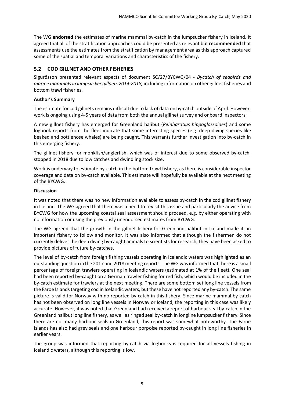The WG **endorsed** the estimates of marine mammal by-catch in the lumpsucker fishery in Iceland. It agreed that all of the stratification approaches could be presented as relevant but **recommended** that assessments use the estimates from the stratification by management area as this approach captured some of the spatial and temporal variations and characteristics of the fishery.

# <span id="page-7-0"></span>**5.2 COD GILLNET AND OTHER FISHERIES**

Sigurðsson presented relevant aspects of document SC/27/BYCWG/04 - *Bycatch of seabirds and marine mammals in lumpsucker gillnets 2014-2018,* including information on other gillnet fisheries and bottom trawl fisheries.

## **Author's Summary**

The estimate for cod gillnets remains difficult due to lack of data on by-catch outside of April. However, work is ongoing using 4-5 years of data from both the annual gillnet survey and onboard inspectors.

A new gillnet fishery has emerged for Greenland halibut (*Reinhardtius hippoglossoides*) and some logbook reports from the fleet indicate that some interesting species (e.g. deep diving species like beaked and bottlenose whales) are being caught. This warrants further investigation into by-catch in this emerging fishery.

The gillnet fishery for monkfish/anglerfish, which was of interest due to some observed by-catch, stopped in 2018 due to low catches and dwindling stock size.

Work is underway to estimate by-catch in the bottom trawl fishery, as there is considerable inspector coverage and data on by-catch available. This estimate will hopefully be available at the next meeting of the BYCWG.

#### **Discussion**

It was noted that there was no new information available to assess by-catch in the cod gillnet fishery in Iceland. The WG agreed that there was a need to revisit this issue and particularly the advice from BYCWG for how the upcoming coastal seal assessment should proceed, e.g. by either operating with no information or using the previously unendorsed estimates from BYCWG.

The WG agreed that the growth in the gillnet fishery for Greenland halibut in Iceland made it an important fishery to follow and monitor. It was also informed that although the fishermen do not currently deliver the deep diving by-caught animals to scientists for research, they have been asked to provide pictures of future by-catches.

The level of by-catch from foreign fishing vessels operating in Icelandic waters was highlighted as an outstanding question in the 2017 and 2018 meeting reports. The WG was informed that there is a small percentage of foreign trawlers operating in Icelandic waters (estimated at 1% of the fleet). One seal had been reported by-caught on a German trawler fishing for red fish, which would be included in the by-catch estimate for trawlers at the next meeting. There are some bottom set long line vessels from the Faroe Islands targeting cod in Icelandic waters, but these have not reported any by-catch. The same picture is valid for Norway with no reported by-catch in this fishery. Since marine mammal by-catch has not been observed on long line vessels in Norway or Iceland, the reporting in this case was likely accurate. However, it was noted that Greenland had received a report of harbour seal by-catch in the Greenland halibut long line fishery, as well as ringed seal by-catch in longline lumpsucker fishery. Since there are not many harbour seals in Greenland, this report was somewhat noteworthy. The Faroe Islands has also had grey seals and one harbour porpoise reported by-caught in long line fisheries in earlier years.

The group was informed that reporting by-catch via logbooks is required for all vessels fishing in Icelandic waters, although this reporting is low.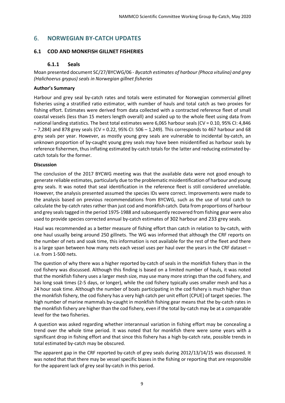# <span id="page-8-0"></span>6. **NORWEGIAN BY-CATCH UPDATES**

#### <span id="page-8-2"></span><span id="page-8-1"></span>**6.1 COD AND MONKFISH GILLNET FISHERIES**

#### **6.1.1 Seals**

Moan presented document SC/27/BYCWG/06 - *Bycatch estimates of harbour (Phoca vitulina) and grey (Halichoerus grypus) seals in Norwegian gillnet fisheries*

#### **Author's Summary**

Harbour and grey seal by-catch rates and totals were estimated for Norwegian commercial gillnet fisheries using a stratified ratio estimator, with number of hauls and total catch as two proxies for fishing effort. Estimates were derived from data collected with a contracted reference fleet of small coastal vessels (less than 15 meters length overall) and scaled up to the whole fleet using data from national landing statistics. The best total estimates were 6,065 harbour seals (CV = 0.10, 95% CI: 4,846  $-7,284$ ) and 878 grey seals (CV = 0.22, 95% CI: 506 - 1,249). This corresponds to 467 harbour and 68 grey seals per year. However, as mostly young grey seals are vulnerable to incidental by-catch, an unknown proportion of by-caught young grey seals may have been misidentified as harbour seals by reference fishermen, thus inflating estimated by-catch totals for the latter and reducing estimated bycatch totals for the former.

#### **Discussion**

The conclusion of the 2017 BYCWG meeting was that the available data were not good enough to generate reliable estimates, particularly due to the problematic misidentification of harbour and young grey seals. It was noted that seal identification in the reference fleet is still considered unreliable. However, the analysis presented assumed the species IDs were correct. Improvements were made to the analysis based on previous recommendations from BYCWG, such as the use of total catch to calculate the by-catch rates rather than just cod and monkfish catch. Data from proportions of harbour and grey seals tagged in the period 1975-1988 and subsequently recovered from fishing gear were also used to provide species corrected annual by-catch estimates of 302 harbour and 233 grey seals.

Haul was recommended as a better measure of fishing effort than catch in relation to by-catch, with one haul usually being around 250 gillnets. The WG was informed that although the CRF reports on the number of nets and soak time, this information is not available for the rest of the fleet and there is a large span between how many nets each vessel uses per haul over the years in the CRF dataset – i.e. from 1-500 nets.

The question of why there was a higher reported by-catch of seals in the monkfish fishery than in the cod fishery was discussed. Although this finding is based on a limited number of hauls, it was noted that the monkfish fishery uses a larger mesh size, may use many more stringsthan the cod fishery, and has long soak times (2-5 days, or longer), while the cod fishery typically uses smaller mesh and has a 24 hour soak time. Although the number of boats participating in the cod fishery is much higher than the monkfish fishery, the cod fishery has a very high catch per unit effort (CPUE) of target species. The high number of marine mammals by-caught in monkfish fishing gear means that the by-catch rates in the monkfish fishery are higher than the cod fishery, even if the total by-catch may be at a comparable level for the two fisheries.

A question was asked regarding whether interannual variation in fishing effort may be concealing a trend over the whole time period. It was noted that for monkfish there were some years with a significant drop in fishing effort and that since this fishery has a high by-catch rate, possible trends in total estimated by-catch may be obscured.

The apparent gap in the CRF reported by-catch of grey seals during 2012/13/14/15 was discussed. It was noted that that there may be vessel specific biases in the fishing or reporting that are responsible for the apparent lack of grey seal by-catch in this period.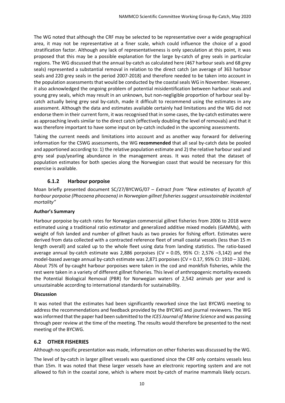The WG noted that although the CRF may be selected to be representative over a wide geographical area, it may not be representative at a finer scale, which could influence the choice of a good stratification factor. Although any lack of representativeness is only speculation at this point, it was proposed that this may be a possible explanation for the large by-catch of grey seals in particular regions. The WG discussed that the annual by-catch as calculated here (467 harbour seals and 68 grey seals) represented a substantial removal in relation to the direct catch (an average of 363 harbour seals and 220 grey seals in the period 2007-2018) and therefore needed to be taken into account in the population assessments that would be conducted by the coastal seals WG in November. However, it also acknowledged the ongoing problem of potential misidentification between harbour seals and young grey seals, which may result in an unknown, but non-negligible proportion of harbour seal bycatch actually being grey seal by-catch, made it difficult to recommend using the estimates in any assessment. Although the data and estimates available certainly had limitations and the WG did not endorse them in their current form, it was recognised that in some cases, the by-catch estimates were as approaching levels similar to the direct catch (effectively doubling the level of removals) and that it was therefore important to have some input on by-catch included in the upcoming assessments.

Taking the current needs and limitations into account and as another way forward for delivering information for the CSWG assessments, the WG **recommended** that all seal by-catch data be pooled and apportioned according to: 1) the relative population estimate and 2) the relative harbour seal and grey seal pup/yearling abundance in the management areas. It was noted that the dataset of population estimates for both species along the Norwegian coast that would be necessary for this exercise is available.

## **6.1.2 Harbour porpoise**

<span id="page-9-0"></span>Moan briefly presented document SC/27/BYCWG/07 – *Extract from "New estimates of bycatch of harbour porpoise (Phocoena phocoena) in Norwegian gillnet fisheries suggest unsustainable incidental mortality"*

#### **Author's Summary**

Harbour porpoise by-catch rates for Norwegian commercial gillnet fisheries from 2006 to 2018 were estimated using a traditional ratio estimator and generalized additive mixed models (GAMMs), with weight of fish landed and number of gillnet hauls as two proxies for fishing effort. Estimates were derived from data collected with a contracted reference fleet of small coastal vessels (less than 15 m length overall) and scaled up to the whole fleet using data from landing statistics. The ratio-based average annual by-catch estimate was 2,886 porpoises (CV = 0.05, 95% CI: 2,576 –3,142) and the model-based average annual by-catch estimate was 2,871 porpoises (CV = 0.17, 95% CI: 1910 – 3324). About 75% of by-caught harbour porpoises were taken in the cod and monkfish fisheries, while the rest were taken in a variety of different gillnet fisheries. This level of anthropogenic mortality exceeds the Potential Biological Removal (PBR) for Norwegian waters of 2,542 animals per year and is unsustainable according to international standards for sustainability.

#### **Discussion**

It was noted that the estimates had been significantly reworked since the last BYCWG meeting to address the recommendations and feedback provided by the BYCWG and journal reviewers. The WG was informed that the paper had been submitted to the *ICES Journal of Marine Science* and was passing through peer review at the time of the meeting. The results would therefore be presented to the next meeting of the BYCWG.

#### <span id="page-9-1"></span>**6.2 OTHER FISHERIES**

Although no specific presentation was made, information on other fisheries was discussed by the WG.

The level of by-catch in larger gillnet vessels was questioned since the CRF only contains vessels less than 15m. It was noted that these larger vessels have an electronic reporting system and are not allowed to fish in the coastal zone, which is where most by-catch of marine mammals likely occurs.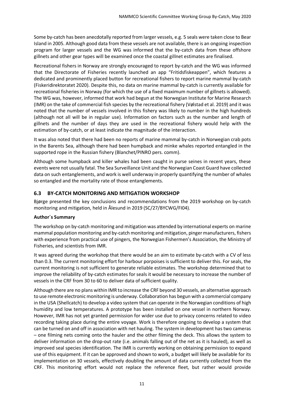Some by-catch has been anecdotally reported from larger vessels, e.g. 5 seals were taken close to Bear Island in 2005. Although good data from these vessels are not available, there is an ongoing inspection program for larger vessels and the WG was informed that the by-catch data from these offshore gillnets and other gear types will be examined once the coastal gillnet estimates are finalised.

Recreational fishers in Norway are strongly encouraged to report by-catch and the WG was informed that the Directorate of Fisheries recently launched an app "Fritidsfiskeappen", which features a dedicated and prominently placed button for recreational fishers to report marine mammal by-catch (Fiskeridirektoratet 2020). Despite this, no data on marine mammal by-catch is currently available for recreational fisheries in Norway (for which the use of a fixed maximum number of gillnets is allowed). The WG was, however, informed that work had begun at the Norwegian Institute for Marine Research (IMR) on the take of commercial fish species by the recreational fishery (Vølstad et al. 2019) and it was noted that the number of vessels involved in this fishery was likely to number in the high hundreds (although not all will be in regular use). Information on factors such as the number and length of gillnets and the number of days they are used in the recreational fishery would help with the estimation of by-catch, or at least indicate the magnitude of the interaction.

It was also noted that there had been no reports of marine mammal by-catch in Norwegian crab pots in the Barents Sea, although there had been humpback and minke whales reported entangled in the supported rope in the Russian fishery (Blanchet/PINRO pers. comm).

Although some humpback and killer whales had been caught in purse seines in recent years, these events were not usually fatal. The Sea Surveillance Unit and the Norwegian Coast Guard have collected data on such entanglements, and work is well underway in properly quantifying the number of whales so entangled and the mortality rate of those entanglements.

## <span id="page-10-0"></span>**6.3 BY-CATCH MONITORING AND MITIGATION WORKSHOP**

Bjørge presented the key conclusions and recommendations from the 2019 workshop on by-catch monitoring and mitigation, held in Ålesund in 2019 (SC/27/BYCWG/FI04).

#### **Author´s Summary**

The workshop on by-catch monitoring and mitigation was attended by international experts on marine mammal population monitoring and by-catch monitoring and mitigation, pinger manufacturers, fishers with experience from practical use of pingers, the Norwegian Fishermen's Association, the Ministry of Fisheries, and scientists from IMR.

It was agreed during the workshop that there would be an aim to estimate by-catch with a CV of less than 0.3. The current monitoring effort for harbour porpoises is sufficient to deliver this. Forseals, the current monitoring is not sufficient to generate reliable estimates. The workshop determined that to improve the reliability of by-catch estimates for seals it would be necessary to increase the number of vessels in the CRF from 30 to 60 to deliver data of sufficient quality.

Although there are no plans within IMR to increase the CRF beyond 30 vessels, an alternative approach to use remote electronic monitoring is underway. Collaboration has begun with a commercial company in the USA (Shellcatch) to develop a video system that can operate in the Norwegian conditions of high humidity and low temperatures. A prototype has been installed on one vessel in northern Norway. However, IMR has not yet granted permission for wider use due to privacy concerns related to video recording taking place during the entire voyage. Work is therefore ongoing to develop a system that can be turned on and off in association with net hauling. The system in development has two cameras – one filming nets coming onto the hauler and the other filming the deck. This allows the system to deliver information on the drop-out rate (i.e. animals falling out of the net as it is hauled), as well as improved seal species identification. The IMR is currently working on obtaining permission to expand use of this equipment. If it can be approved and shown to work, a budget will likely be available for its implementation on 30 vessels, effectively doubling the amount of data currently collected from the CRF. This monitoring effort would not replace the reference fleet, but rather would provide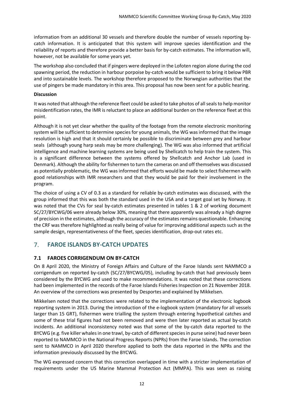information from an additional 30 vessels and therefore double the number of vessels reporting bycatch information. It is anticipated that this system will improve species identification and the reliability of reports and therefore provide a better basis for by-catch estimates. The information will, however, not be available for some years yet.

The workshop also concluded that if pingers were deployed in the Lofoten region alone during the cod spawning period, the reduction in harbour porpoise by-catch would be sufficient to bring it below PBR and into sustainable levels. The workshop therefore proposed to the Norwegian authorities that the use of pingers be made mandatory in this area. This proposal has now been sent for a public hearing.

#### **Discussion**

It was noted that although the reference fleet could be asked to take photos of all seals to help monitor misidentification rates, the IMR is reluctant to place an additional burden on the reference fleet at this point.

Although it is not yet clear whether the quality of the footage from the remote electronic monitoring system will be sufficient to determine species for young animals, the WG was informed that the image resolution is high and that it should certainly be possible to discriminate between grey and harbour seals (although young harp seals may be more challenging). The WG was also informed that artificial intelligence and machine learning systems are being used by Shellcatch to help train the system. This is a significant difference between the systems offered by Shellcatch and Anchor Lab (used in Denmark). Although the ability for fishermen to turn the cameras on and off themselves was discussed as potentially problematic, the WG was informed that efforts would be made to select fishermen with good relationships with IMR researchers and that they would be paid for their involvement in the program.

The choice of using a CV of 0.3 as a standard for reliable by-catch estimates was discussed, with the group informed that this was both the standard used in the USA and a target goal set by Norway. It was noted that the CVs for seal by-catch estimates presented in tables 1 & 2 of working document SC/27/BYCWG/06 were already below 30%, meaning that there apparently was already a high degree of precision in the estimates, although the accuracy of the estimates remains questionable. Enhancing the CRF was therefore highlighted as really being of value for improving additional aspects such as the sample design, representativeness of the fleet, species identification, drop-out rates etc.

# <span id="page-11-0"></span>7. **FAROE ISLANDS BY-CATCH UPDATES**

## <span id="page-11-1"></span>**7.1 FAROES CORRIGENDUM ON BY-CATCH**

On 8 April 2020, the Ministry of Foreign Affairs and Culture of the Faroe Islands sent NAMMCO a corrigendum on reported by-catch (SC/27/BYCWG/05), including by-catch that had previously been considered by the BYCWG and used to make recommendations. It was noted that these corrections had been implemented in the records of the Faroe Islands Fisheries Inspection on 21 November 2018. An overview of the corrections was presented by Desportes and explained by Mikkelsen.

Mikkelsen noted that the corrections were related to the implementation of the electronic logbook reporting system in 2013. During the introduction of the e-logbook system (mandatory for all vessels larger than 15 GRT), fishermen were trialling the system through entering hypothetical catches and some of these trial figures had not been removed and were then later reported as actual by-catch incidents. An additional inconsistency noted was that some of the by-catch data reported to the BYCWG (e.g. five killer whales in one trawl, by-catch of different species in purse seine) had never been reported to NAMMCO in the National Progress Reports (NPRs) from the Faroe Islands. The correction sent to NAMMCO in April 2020 therefore applied to both the data reported in the NPRs and the information previously discussed by the BYCWG.

The WG expressed concern that this correction overlapped in time with a stricter implementation of requirements under the US Marine Mammal Protection Act (MMPA). This was seen as raising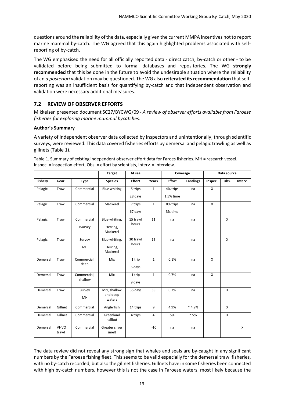questions around the reliability of the data, especially given the current MMPA incentives not to report marine mammal by-catch. The WG agreed that this again highlighted problems associated with selfreporting of by-catch.

The WG emphasised the need for all officially reported data - direct catch, by-catch or other - to be validated before being submitted to formal databases and repositories. The WG **strongly recommended** that this be done in the future to avoid the undesirable situation where the reliability of an *a posteriori* validation may be questioned. The WG also **reiterated its recommendation** that selfreporting was an insufficient basis for quantifying by-catch and that independent observation and validation were necessary additional measures.

# <span id="page-12-0"></span>**7.2 REVIEW OF OBSERVER EFFORTS**

Mikkelsen presented document SC27/BYCWG/09 - *A review of observer efforts available from Faroese fisheries for exploring marine mammal bycatches.* 

#### **Author's Summary**

A variety of independent observer data collected by inspectors and unintentionally, through scientific surveys, were reviewed. This data covered fisheries efforts by demersal and pelagic trawling as well as gillnets (Table 1).

|                |                      |                        | <b>Target</b>                         | At sea             |                | Coverage              |                 |         | Data source  |         |
|----------------|----------------------|------------------------|---------------------------------------|--------------------|----------------|-----------------------|-----------------|---------|--------------|---------|
| <b>Fishery</b> | Gear                 | <b>Type</b>            | <b>Species</b>                        | <b>Effort</b>      | Years          | <b>Effort</b>         | Landings        | Inspec. | Obs.         | Interv. |
| Pelagic        | Trawl                | Commercial             | <b>Blue whiting</b>                   | 5 trips<br>28 days | $\mathbf{1}$   | 4% trips<br>1.5% time | na              | X       |              |         |
| Pelagic        | Trawl                | Commercial             | Mackerel                              | 7 trips<br>67 days | $\mathbf{1}$   | 8% trips<br>3% time   | na              | X       |              |         |
| Pelagic        | Trawl                | Commercial<br>/Survey  | Blue whiting,<br>Herring,<br>Mackerel | 15 trawl<br>hours  | 11             | na                    | na              |         | X            |         |
| Pelagic        | Trawl                | Survey<br><b>MH</b>    | Blue whiting,<br>Herring,<br>Mackerel | 30 trawl<br>hours  | 15             | na                    | na              |         | $\mathsf{x}$ |         |
| Demersal       | Trawl                | Commercial,<br>deep    | Mix                                   | 1 trip<br>6 days   | $\mathbf{1}$   | 0.1%                  | na              | X       |              |         |
| Demersal       | Trawl                | Commercial,<br>shallow | Mix                                   | 1 trip<br>9 days   | $\mathbf{1}$   | 0.7%                  | na              | X       |              |         |
| Demersal       | Trawl                | Survey<br><b>MH</b>    | Mix, shallow<br>and deep<br>waters    | 35 days            | 38             | 0.7%                  | na              |         | X            |         |
| Demersal       | Gillnet              | Commercial             | Anglerfish                            | 14 trips           | 9              | 4.9%                  | $~^{\sim}$ 4.9% |         | X            |         |
| Demersal       | Gillnet              | Commercial             | Greenland<br>halibut                  | 4 trips            | $\overline{4}$ | 5%                    | $\sim$ 5%       |         | $\mathsf{x}$ |         |
| Demersal       | <b>VHVO</b><br>trawl | Commercial             | Greater silver<br>smelt               |                    | $>10$          | na                    | na              |         |              | X       |

Table 1. Summary of existing independent observer effort data for Faroes fisheries. MH = research vessel. Inspec. = inspection effort, Obs. = effort by scientists, Interv. = interview.

The data review did not reveal any strong sign that whales and seals are by-caught in any significant numbers by the Faroese fishing fleet. This seems to be valid especially for the demersal trawl fisheries, with no by-catch recorded, but also the gillnet fisheries. Gillnets have in some fisheries been connected with high by-catch numbers, however this is not the case in Faroese waters, most likely because the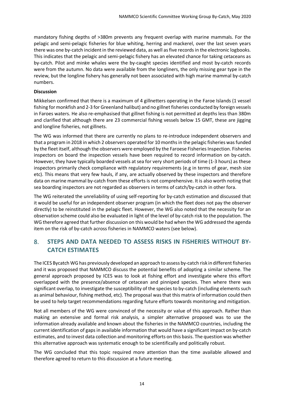mandatory fishing depths of >380m prevents any frequent overlap with marine mammals. For the pelagic and semi-pelagic fisheries for blue whiting, herring and mackerel, over the last seven years there was one by-catch incident in the reviewed data, as well as five records in the electronic logbooks. This indicates that the pelagic and semi-pelagic fishery has an elevated chance for taking cetaceans as by-catch. Pilot and minke whales were the by-caught species identified and most by-catch records were from the autumn. No data were available from the longliners, the only missing gear type in the review, but the longline fishery has generally not been associated with high marine mammal by-catch numbers.

#### **Discussion**

Mikkelsen confirmed that there is a maximum of 4 gillnetters operating in the Faroe Islands (1 vessel fishing for monkfish and 2-3 for Greenland halibut) and no gillnet fisheries conducted by foreign vessels in Faroes waters. He also re-emphasised that gillnet fishing is not permitted at depths less than 380m and clarified that although there are 23 commercial fishing vessels below 15 GMT, these are jigging and longline fisheries, not gillnets.

The WG was informed that there are currently no plans to re-introduce independent observers and that a program in 2018 in which 2 observers operated for 10 months in the pelagic fisheries was funded by the fleet itself, although the observers were employed by the Faroese Fisheries Inspection. Fisheries inspectors on board the inspection vessels have been required to record information on by-catch. However, they have typically boarded vessels at sea for very short periods of time (1-3 hours) as these inspectors primarily check compliance with regulatory requirements (e.g in terms of gear, mesh size etc). This means that very few hauls, if any, are actually observed by these inspectors and therefore data on marine mammal by-catch from these efforts is not comprehensive. It is also worth noting that sea boarding inspectors are not regarded as observers in terms of catch/by-catch in other fora.

The WG reiterated the unreliability of using self-reporting for by-catch estimation and discussed that it would be useful for an independent observer program (in which the fleet does not pay the observer directly) to be reinstituted in the pelagic fleet. However, the WG also noted that the necessity for an observation scheme could also be evaluated in light of the level of by-catch risk to the population. The WG therefore agreed that further discussion on this would be had when the WG addressed the agenda item on the risk of by-catch across fisheries in NAMMCO waters (see below).

# <span id="page-13-0"></span>8. **STEPS AND DATA NEEDED TO ASSESS RISKS IN FISHERIES WITHOUT BY-CATCH ESTIMATES**

The ICES Bycatch WG has previously developed an approach to assess by-catch risk in different fisheries and it was proposed that NAMMCO discuss the potential benefits of adopting a similar scheme. The general approach proposed by ICES was to look at fishing effort and investigate where this effort overlapped with the presence/absence of cetacean and pinniped species. Then where there was significant overlap, to investigate the susceptibility of the species to by-catch (including elements such as animal behaviour, fishing method, etc). The proposal was that this matrix of information could then be used to help target recommendations regarding future efforts towards monitoring and mitigation.

Not all members of the WG were convinced of the necessity or value of this approach. Rather than making an extensive and formal risk analysis, a simpler alternative proposed was to use the information already available and known about the fisheries in the NAMMCO countries, including the current identification of gaps in available information that would have a significant impact on by-catch estimates, and to invest data collection and monitoring efforts on this basis. The question was whether this alternative approach was systematic enough to be scientifically and politically robust.

The WG concluded that this topic required more attention than the time available allowed and therefore agreed to return to this discussion at a future meeting.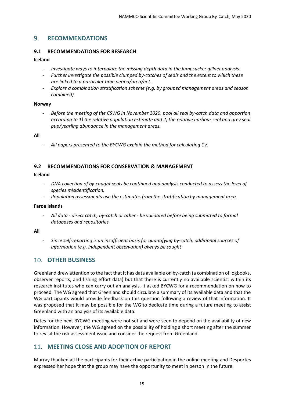# <span id="page-14-0"></span>9. **RECOMMENDATIONS**

#### <span id="page-14-1"></span>**9.1 RECOMMENDATIONS FOR RESEARCH**

#### **Iceland**

- *Investigate ways to interpolate the missing depth data in the lumpsucker gillnet analysis.*
- *Further investigate the possible clumped by-catches of seals and the extent to which these are linked to a particular time period/area/net.*
- *Explore a combination stratification scheme (e.g. by grouped management areas and season combined).*

#### **Norway**

- *Before the meeting of the CSWG in November 2020, pool all seal by-catch data and apportion according to 1) the relative population estimate and 2) the relative harbour seal and grey seal pup/yearling abundance in the management areas.*

#### **All**

- *All papers presented to the BYCWG explain the method for calculating CV.*

#### <span id="page-14-2"></span>**9.2 RECOMMENDATIONS FOR CONSERVATION & MANAGEMENT**

#### **Iceland**

- *DNA collection of by-caught seals be continued and analysis conducted to assess the level of species misidentification.*
- *Population assessments use the estimates from the stratification by management area.*

#### **Faroe Islands**

- *All data - direct catch, by-catch or other - be validated before being submitted to formal databases and repositories.* 

#### **All**

- *Since self-reporting is an insufficient basis for quantifying by-catch, additional sources of information (e.g. independent observation) always be sought*

# <span id="page-14-3"></span>10. **OTHER BUSINESS**

Greenland drew attention to the fact that it has data available on by-catch (a combination of logbooks, observer reports, and fishing effort data) but that there is currently no available scientist within its research institutes who can carry out an analysis. It asked BYCWG for a recommendation on how to proceed. The WG agreed that Greenland should circulate a summary of its available data and that the WG participants would provide feedback on this question following a review of that information. It was proposed that it may be possible for the WG to dedicate time during a future meeting to assist Greenland with an analysis of its available data.

Dates for the next BYCWG meeting were not set and were seen to depend on the availability of new information. However, the WG agreed on the possibility of holding a short meeting after the summer to revisit the risk assessment issue and consider the request from Greenland.

# <span id="page-14-4"></span>11. **MEETING CLOSE AND ADOPTION OF REPORT**

Murray thanked all the participants for their active participation in the online meeting and Desportes expressed her hope that the group may have the opportunity to meet in person in the future.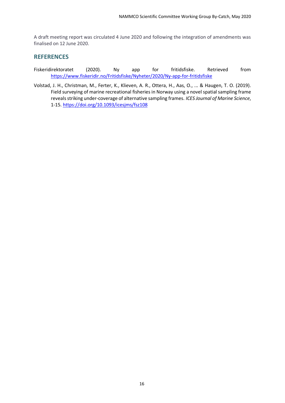A draft meeting report was circulated 4 June 2020 and following the integration of amendments was finalised on 12 June 2020.

### <span id="page-15-0"></span>**REFERENCES**

- Fiskeridirektoratet (2020). Ny app for fritidsfiske. Retrieved from <https://www.fiskeridir.no/Fritidsfiske/Nyheter/2020/Ny-app-for-fritidsfiske>
- Volstad, J. H., Christman, M., Ferter, K., Klieven, A. R., Ottera, H., Aas, O., ... & Haugen, T. O. (2019). Field surveying of marine recreational fisheries in Norway using a novel spatial sampling frame reveals striking under-coverage of alternative sampling frames. *ICES Journal of Marine Science*, 1-15. <https://doi.org/10.1093/icesjms/fsz108>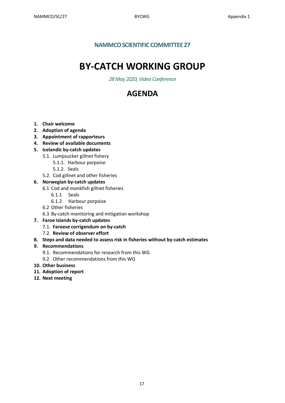# **NAMMCO SCIENTIFIC COMMITTEE 27**

# **BY-CATCH WORKING GROUP**

*28 May 2020, Video Conference*

# **AGENDA**

- <span id="page-16-0"></span>**1. Chair welcome**
- **2. Adoption of agenda**
- **3. Appointment of rapporteurs**
- **4. Review of available documents**
- **5. Icelandic by-catch updates**
	- 5.1. Lumpsucker gillnet fishery
		- 5.1.1. Harbour porpoise
		- 5.1.2. Seals
	- 5.2. Cod gillnet and other fisheries
- **6. Norwegian by-catch updates**
	- 6.1 Cod and monkfish gillnet fisheries
		- 6.1.1 Seals
		- 6.1.2 Harbour porpoise
	- 6.2 Other fisheries
	- 6.3 By-catch monitoring and mitigation workshop
- **7. Faroe Islands by-catch updates**
	- 7.1. **Faroese corrigendum on by-catch**
	- 7.2. **Review of observer effort**
- **8. Steps and data needed to assess risk in fisheries without by-catch estimates**

## **9. Recommendations**

- 9.1. Recommendations for research from this WG
- 9.2. Other recommendations from this WG
- **10. Other business**
- **11. Adoption of report**
- **12. Next meeting**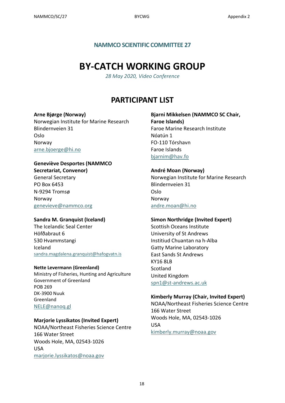# **NAMMCO SCIENTIFIC COMMITTEE 27**

# **BY-CATCH WORKING GROUP**

*28 May 2020, Video Conference*

# **PARTICIPANT LIST**

#### <span id="page-17-0"></span>**Arne Bjørge (Norway)**

Norwegian Institute for Marine Research Blindernveien 31 Oslo Norway [arne.bjoerge@hi.no](mailto:arne.bjoerge@hi.no)

# **Geneviève Desportes (NAMMCO**

**Secretariat, Convenor)** General Secretary PO Box 6453 N-9294 Tromsø Norway [genevieve@nammco.org](mailto:genevieve@nammco.org)

## **Sandra M. Granquist (Iceland)**

The Icelandic Seal Center Höfðabraut 6 530 Hvammstangi Iceland [sandra.magdalena.granquist@hafogvatn.is](mailto:sandra.magdalena.granquist@hafogvatn.is)

#### **Nette Levermann (Greenland)**

Ministry of Fisheries, Hunting and Agriculture Government of Greenland POB 269 DK-3900 Nuuk Greenland [NELE@nanoq.gl](mailto:NELE@nanoq.gl)

#### **Marjorie Lyssikatos (Invited Expert)**

NOAA/Northeast Fisheries Science Centre 166 Water Street Woods Hole, MA, 02543-1026 USA [marjorie.lyssikatos@noaa.gov](mailto:marjorie.lyssikatos@noaa.gov)

# **Bjarni Mikkelsen (NAMMCO SC Chair, Faroe Islands)** Faroe Marine Research Institute Nóatún 1 FO-110 Tórshavn Faroe Islands [bjarnim@hav.fo](mailto:bjarnim@hav.fo)

#### **André Moan (Norway)**

Norwegian Institute for Marine Research Blindernveien 31 Oslo Norway [andre.moan@hi.no](mailto:andre.moan@hi.no)

#### **Simon Northridge (Invited Expert)**

Scottish Oceans Institute University of St Andrews Institiud Chuantan na h-Alba Gatty Marine Laboratory East Sands St Andrews KY16 8LB **Scotland** United Kingdom [spn1@st-andrews.ac.uk](mailto:spn1@st-andrews.ac.uk)

#### **Kimberly Murray (Chair, Invited Expert)**

NOAA/Northeast Fisheries Science Centre 166 Water Street Woods Hole, MA, 02543-1026 USA [kimberly.murray@noaa.gov](mailto:kimberly.murray@noaa.gov)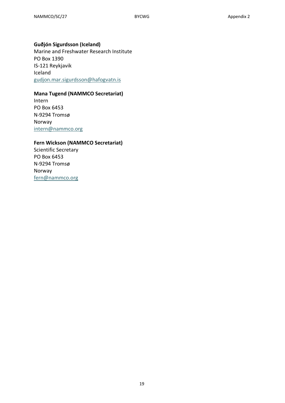#### **Guðjón Sigurdsson (Iceland)**

Marine and Freshwater Research Institute PO Box 1390 IS-121 Reykjavik Iceland [gudjon.mar.sigurdsson@hafogvatn.is](mailto:gudjon.mar.sigurdsson@hafogvatn.is)

## **Mana Tugend (NAMMCO Secretariat)**

Intern PO Box 6453 N-9294 Tromsø Norway [intern@nammco.org](mailto:intern@nammco.org)

#### **Fern Wickson (NAMMCO Secretariat)**

Scientific Secretary PO Box 6453 N-9294 Tromsø Norway [fern@nammco.org](mailto:fern@nammco.org)